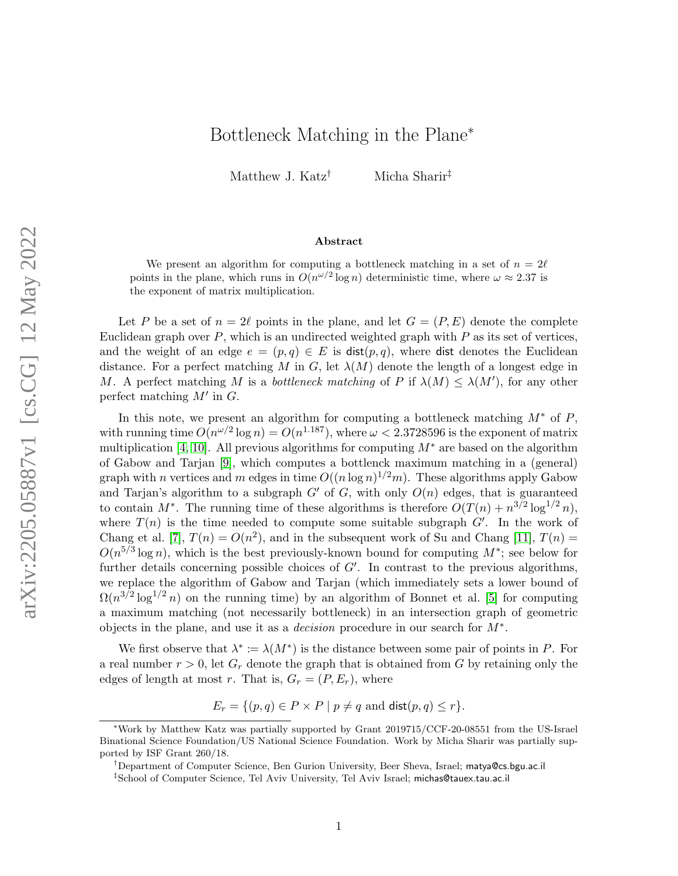## Bottleneck Matching in the Plane<sup>∗</sup>

Matthew J. Katz<sup>†</sup> Micha Sharir<sup>‡</sup>

## Abstract

We present an algorithm for computing a bottleneck matching in a set of  $n = 2\ell$ points in the plane, which runs in  $O(n^{\omega/2} \log n)$  deterministic time, where  $\omega \approx 2.37$  is the exponent of matrix multiplication.

Let P be a set of  $n = 2\ell$  points in the plane, and let  $G = (P, E)$  denote the complete Euclidean graph over  $P$ , which is an undirected weighted graph with  $P$  as its set of vertices, and the weight of an edge  $e = (p, q) \in E$  is  $dist(p, q)$ , where dist denotes the Euclidean distance. For a perfect matching M in G, let  $\lambda(M)$  denote the length of a longest edge in M. A perfect matching M is a *bottleneck matching* of P if  $\lambda(M) \leq \lambda(M')$ , for any other perfect matching  $M'$  in  $G$ .

In this note, we present an algorithm for computing a bottleneck matching  $M^*$  of P, with running time  $O(n^{\omega/2} \log n) = O(n^{1.187})$ , where  $\omega < 2.3728596$  is the exponent of matrix multiplication [\[4,](#page-5-0) [10\]](#page-6-0). All previous algorithms for computing  $M^*$  are based on the algorithm of Gabow and Tarjan [\[9\]](#page-6-1), which computes a bottlenck maximum matching in a (general) graph with n vertices and m edges in time  $O((n \log n)^{1/2}m)$ . These algorithms apply Gabow and Tarjan's algorithm to a subgraph  $G'$  of G, with only  $O(n)$  edges, that is guaranteed to contain  $M^*$ . The running time of these algorithms is therefore  $O(T(n) + n^{3/2} \log^{1/2} n)$ , where  $T(n)$  is the time needed to compute some suitable subgraph  $G'$ . In the work of Chang et al. [\[7\]](#page-6-2),  $T(n) = O(n^2)$ , and in the subsequent work of Su and Chang [\[11\]](#page-6-3),  $T(n)$  =  $O(n^{5/3} \log n)$ , which is the best previously-known bound for computing  $M^*$ ; see below for further details concerning possible choices of  $G'$ . In contrast to the previous algorithms, we replace the algorithm of Gabow and Tarjan (which immediately sets a lower bound of  $\Omega(n^{3/2} \log^{1/2} n)$  on the running time) by an algorithm of Bonnet et al. [\[5\]](#page-6-4) for computing a maximum matching (not necessarily bottleneck) in an intersection graph of geometric objects in the plane, and use it as a *decision* procedure in our search for  $M^*$ .

We first observe that  $\lambda^* := \lambda(M^*)$  is the distance between some pair of points in P. For a real number  $r > 0$ , let  $G_r$  denote the graph that is obtained from G by retaining only the edges of length at most r. That is,  $G_r = (P, E_r)$ , where

 $E_r = \{(p, q) \in P \times P \mid p \neq q \text{ and } \text{dist}(p, q) \leq r\}.$ 

<sup>∗</sup>Work by Matthew Katz was partially supported by Grant 2019715/CCF-20-08551 from the US-Israel Binational Science Foundation/US National Science Foundation. Work by Micha Sharir was partially supported by ISF Grant 260/18.

<sup>†</sup>Department of Computer Science, Ben Gurion University, Beer Sheva, Israel; matya@cs.bgu.ac.il

<sup>‡</sup>School of Computer Science, Tel Aviv University, Tel Aviv Israel; michas@tauex.tau.ac.il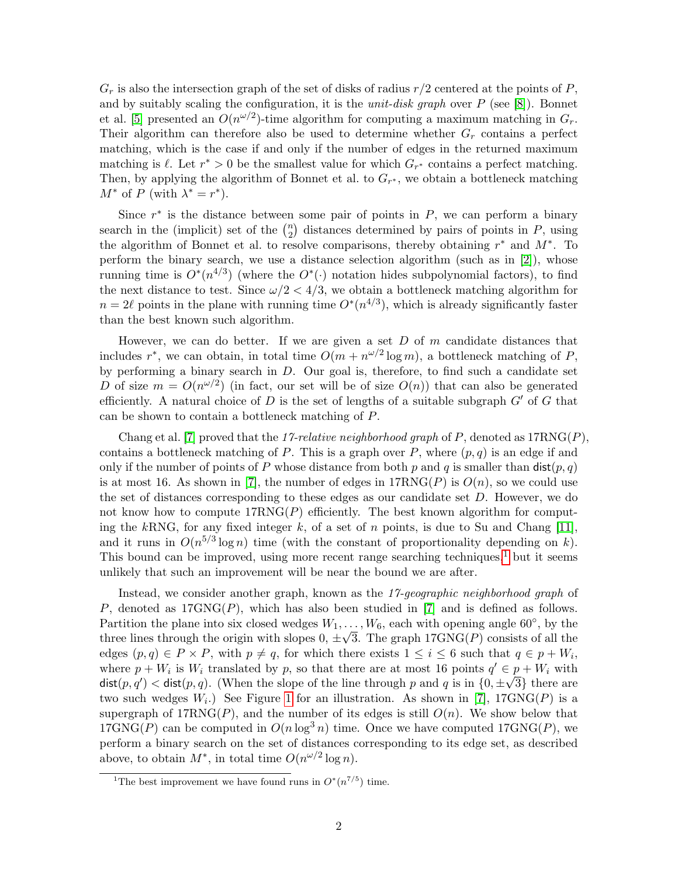$G_r$  is also the intersection graph of the set of disks of radius  $r/2$  centered at the points of P, and by suitably scaling the configuration, it is the *unit-disk graph* over  $P$  (see [\[8\]](#page-6-5)). Bonnet et al. [\[5\]](#page-6-4) presented an  $O(n^{\omega/2})$ -time algorithm for computing a maximum matching in  $G_r$ . Their algorithm can therefore also be used to determine whether  $G_r$  contains a perfect matching, which is the case if and only if the number of edges in the returned maximum matching is  $\ell$ . Let  $r^* > 0$  be the smallest value for which  $G_{r^*}$  contains a perfect matching. Then, by applying the algorithm of Bonnet et al. to  $G_{r^*}$ , we obtain a bottleneck matching  $M^*$  of P (with  $\lambda^* = r^*$ ).

Since  $r^*$  is the distance between some pair of points in  $P$ , we can perform a binary search in the (implicit) set of the  $\binom{n}{2}$  $\binom{n}{2}$  distances determined by pairs of points in P, using the algorithm of Bonnet et al. to resolve comparisons, thereby obtaining  $r^*$  and  $M^*$ . To perform the binary search, we use a distance selection algorithm (such as in [\[2\]](#page-5-1)), whose running time is  $O^*(n^{4/3})$  (where the  $O^*(\cdot)$  notation hides subpolynomial factors), to find the next distance to test. Since  $\omega/2 < 4/3$ , we obtain a bottleneck matching algorithm for  $n = 2\ell$  points in the plane with running time  $O<sup>*</sup>(n<sup>4/3</sup>)$ , which is already significantly faster than the best known such algorithm.

However, we can do better. If we are given a set  $D$  of  $m$  candidate distances that includes  $r^*$ , we can obtain, in total time  $O(m + n^{\omega/2} \log m)$ , a bottleneck matching of P, by performing a binary search in  $D$ . Our goal is, therefore, to find such a candidate set D of size  $m = O(n^{\omega/2})$  (in fact, our set will be of size  $O(n)$ ) that can also be generated efficiently. A natural choice of D is the set of lengths of a suitable subgraph  $G'$  of G that can be shown to contain a bottleneck matching of P.

Chang et al. [\[7\]](#page-6-2) proved that the 17-relative neighborhood graph of P, denoted as  $17RNG(P)$ , contains a bottleneck matching of P. This is a graph over P, where  $(p, q)$  is an edge if and only if the number of points of P whose distance from both p and q is smaller than  $dist(p, q)$ is at most 16. As shown in [\[7\]](#page-6-2), the number of edges in  $17RNG(P)$  is  $O(n)$ , so we could use the set of distances corresponding to these edges as our candidate set  $D$ . However, we do not know how to compute  $17RNG(P)$  efficiently. The best known algorithm for computing the kRNG, for any fixed integer k, of a set of n points, is due to Su and Chang  $[11]$ , and it runs in  $O(n^{5/3} \log n)$  time (with the constant of proportionality depending on k). This bound can be improved, using more recent range searching techniques,<sup>[1](#page-1-0)</sup> but it seems unlikely that such an improvement will be near the bound we are after.

Instead, we consider another graph, known as the 17-geographic neighborhood graph of P, denoted as  $17GNG(P)$ , which has also been studied in [\[7\]](#page-6-2) and is defined as follows. Partition the plane into six closed wedges  $W_1, \ldots, W_6$ , each with opening angle 60°, by the three lines through the origin with slopes  $0, \pm \sqrt{3}$ . The graph 17GNG(P) consists of all the edges  $(p, q) \in P \times P$ , with  $p \neq q$ , for which there exists  $1 \leq i \leq 6$  such that  $q \in p + W_i$ , where  $p + W_i$  is  $W_i$  translated by p, so that there are at most 16 points  $q' \in p + W_i$  with dist $(p, q') <$  dist $(p, q)$ . (When the slope of the line through p and q is in  $\{0, \pm\sqrt{3}\}$  there are two such wedges  $W_i$ .) See Figure [1](#page-2-0) for an illustration. As shown in [\[7\]](#page-6-2), 17GNG(P) is a supergraph of  $17RNG(P)$ , and the number of its edges is still  $O(n)$ . We show below that  $17GNG(P)$  can be computed in  $O(n \log^3 n)$  time. Once we have computed  $17GNG(P)$ , we perform a binary search on the set of distances corresponding to its edge set, as described above, to obtain  $M^*$ , in total time  $O(n^{\omega/2} \log n)$ .

<span id="page-1-0"></span><sup>&</sup>lt;sup>1</sup>The best improvement we have found runs in  $O^*(n^{7/5})$  time.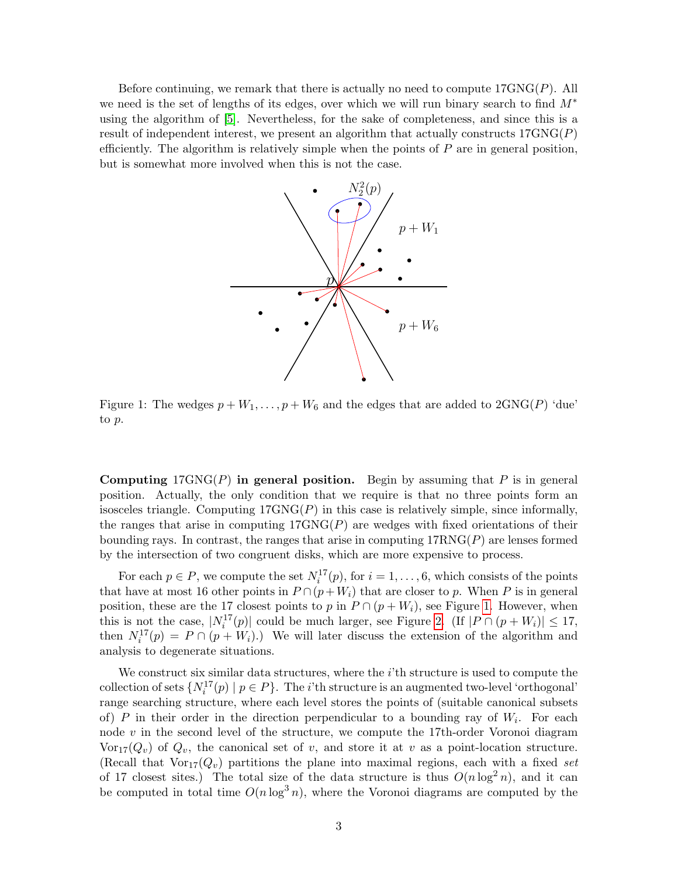Before continuing, we remark that there is actually no need to compute  $17GNG(P)$ . All we need is the set of lengths of its edges, over which we will run binary search to find  $M^*$ using the algorithm of [\[5\]](#page-6-4). Nevertheless, for the sake of completeness, and since this is a result of independent interest, we present an algorithm that actually constructs  $17GNG(P)$ efficiently. The algorithm is relatively simple when the points of  $P$  are in general position, but is somewhat more involved when this is not the case.



<span id="page-2-0"></span>Figure 1: The wedges  $p + W_1, \ldots, p + W_6$  and the edges that are added to  $2GNG(P)$  'due' to p.

Computing  $17GNG(P)$  in general position. Begin by assuming that P is in general position. Actually, the only condition that we require is that no three points form an isosceles triangle. Computing  $17GNG(P)$  in this case is relatively simple, since informally, the ranges that arise in computing  $17GNG(P)$  are wedges with fixed orientations of their bounding rays. In contrast, the ranges that arise in computing  $17RNG(P)$  are lenses formed by the intersection of two congruent disks, which are more expensive to process.

For each  $p \in P$ , we compute the set  $N_i^{17}(p)$ , for  $i = 1, \ldots, 6$ , which consists of the points that have at most 16 other points in  $P \cap (p+W_i)$  that are closer to p. When P is in general position, these are the 17 closest points to p in  $P \cap (p + W_i)$ , see Figure [1.](#page-2-0) However, when this is not the case,  $|N_i^{17}(p)|$  could be much larger, see Figure [2.](#page-3-0) (If  $|P \cap (p + W_i)| \leq 17$ , then  $N_i^{17}(p) = P \cap (p + W_i)$ .) We will later discuss the extension of the algorithm and analysis to degenerate situations.

We construct six similar data structures, where the  $i$ <sup>th</sup> structure is used to compute the collection of sets  $\{N_i^{17}(p) \mid p \in P\}$ . The *i*'th structure is an augmented two-level 'orthogonal' range searching structure, where each level stores the points of (suitable canonical subsets of) P in their order in the direction perpendicular to a bounding ray of  $W_i$ . For each node  $v$  in the second level of the structure, we compute the 17th-order Voronoi diagram  $\text{Vor}_{17}(Q_v)$  of  $Q_v$ , the canonical set of v, and store it at v as a point-location structure. (Recall that  $\text{Vor}_{17}(Q_v)$  partitions the plane into maximal regions, each with a fixed set of 17 closest sites.) The total size of the data structure is thus  $O(n \log^2 n)$ , and it can be computed in total time  $O(n \log^3 n)$ , where the Voronoi diagrams are computed by the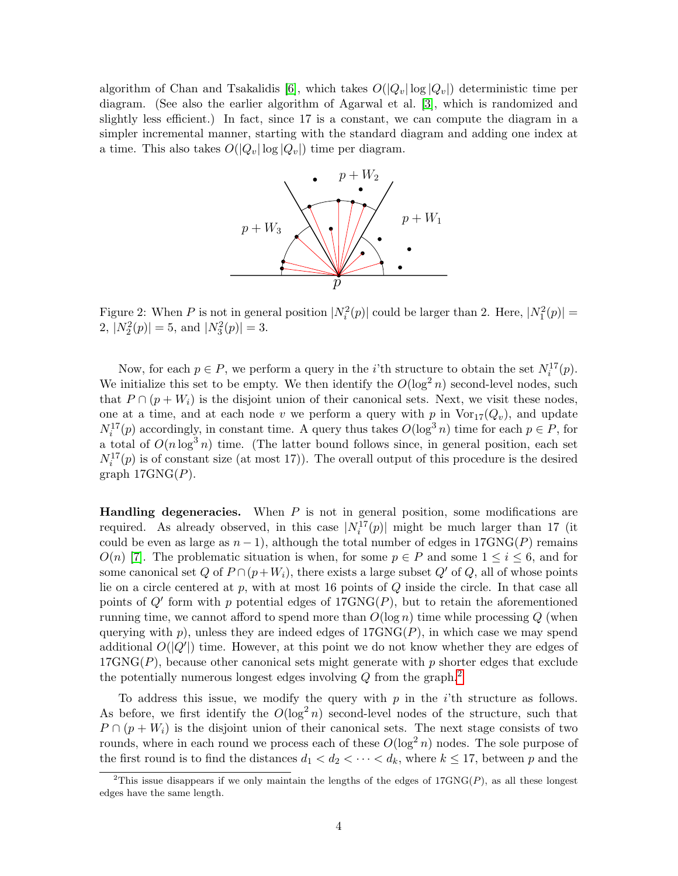algorithm of Chan and Tsakalidis [\[6\]](#page-6-6), which takes  $O(|Q_v| \log |Q_v|)$  deterministic time per diagram. (See also the earlier algorithm of Agarwal et al. [\[3\]](#page-5-2), which is randomized and slightly less efficient.) In fact, since 17 is a constant, we can compute the diagram in a simpler incremental manner, starting with the standard diagram and adding one index at a time. This also takes  $O(|Q_v| \log |Q_v|)$  time per diagram.



<span id="page-3-0"></span>Figure 2: When P is not in general position  $|N_i^2(p)|$  could be larger than 2. Here,  $|N_1^2(p)| =$ 2,  $|N_2^2(p)| = 5$ , and  $|N_3^2(p)| = 3$ .

Now, for each  $p \in P$ , we perform a query in the *i*'th structure to obtain the set  $N_i^{17}(p)$ . We initialize this set to be empty. We then identify the  $O(\log^2 n)$  second-level nodes, such that  $P \cap (p + W_i)$  is the disjoint union of their canonical sets. Next, we visit these nodes, one at a time, and at each node v we perform a query with p in  $\text{Vor}_{17}(Q_v)$ , and update  $N_i^{17}(p)$  accordingly, in constant time. A query thus takes  $O(\log^3 n)$  time for each  $p \in P$ , for a total of  $O(n \log^3 n)$  time. (The latter bound follows since, in general position, each set  $N_i^{17}(p)$  is of constant size (at most 17)). The overall output of this procedure is the desired graph  $17GNG(P)$ .

**Handling degeneracies.** When  $P$  is not in general position, some modifications are required. As already observed, in this case  $|N_i^{17}(p)|$  might be much larger than 17 (it could be even as large as  $n-1$ ), although the total number of edges in 17GNG(P) remains  $O(n)$  [\[7\]](#page-6-2). The problematic situation is when, for some  $p \in P$  and some  $1 \leq i \leq 6$ , and for some canonical set Q of  $P \cap (p+W_i)$ , there exists a large subset Q' of Q, all of whose points lie on a circle centered at  $p$ , with at most 16 points of  $Q$  inside the circle. In that case all points of  $Q'$  form with p potential edges of  $17GNG(P)$ , but to retain the aforementioned running time, we cannot afford to spend more than  $O(\log n)$  time while processing Q (when querying with p), unless they are indeed edges of  $17GNG(P)$ , in which case we may spend additional  $O(|Q'|)$  time. However, at this point we do not know whether they are edges of  $17GNG(P)$ , because other canonical sets might generate with p shorter edges that exclude the potentially numerous longest edges involving  $Q$  from the graph.<sup>[2](#page-3-1)</sup>

To address this issue, we modify the query with  $p$  in the *i*'th structure as follows. As before, we first identify the  $O(\log^2 n)$  second-level nodes of the structure, such that  $P \cap (p + W_i)$  is the disjoint union of their canonical sets. The next stage consists of two rounds, where in each round we process each of these  $O(\log^2 n)$  nodes. The sole purpose of the first round is to find the distances  $d_1 < d_2 < \cdots < d_k$ , where  $k \leq 17$ , between p and the

<span id="page-3-1"></span><sup>&</sup>lt;sup>2</sup>This issue disappears if we only maintain the lengths of the edges of  $17GNG(P)$ , as all these longest edges have the same length.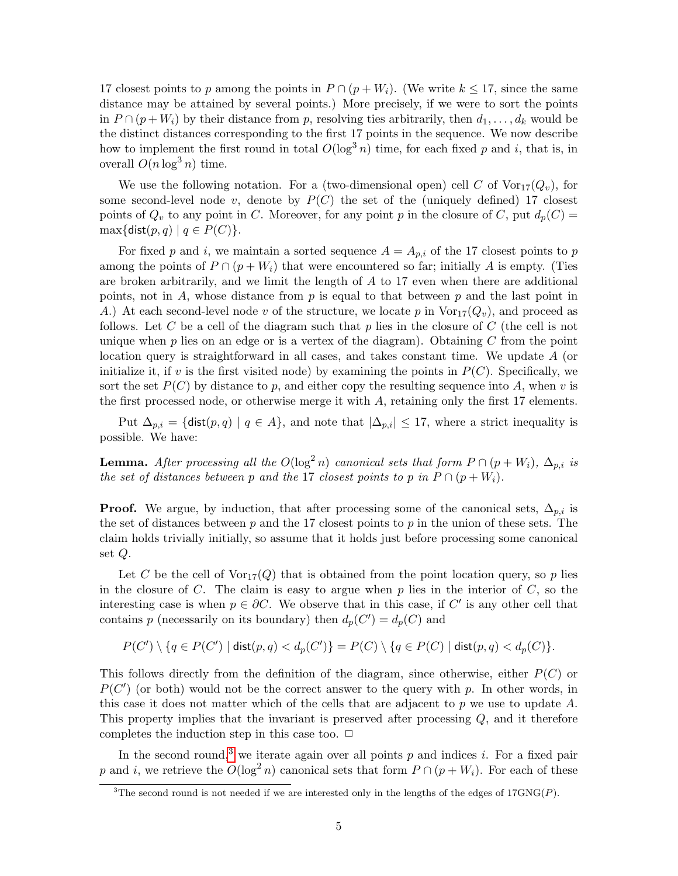17 closest points to p among the points in  $P \cap (p + W_i)$ . (We write  $k \leq 17$ , since the same distance may be attained by several points.) More precisely, if we were to sort the points in  $P \cap (p + W_i)$  by their distance from p, resolving ties arbitrarily, then  $d_1, \ldots, d_k$  would be the distinct distances corresponding to the first 17 points in the sequence. We now describe how to implement the first round in total  $O(\log^3 n)$  time, for each fixed p and i, that is, in overall  $O(n \log^3 n)$  time.

We use the following notation. For a (two-dimensional open) cell C of  $\text{Vor}_{17}(Q_v)$ , for some second-level node v, denote by  $P(C)$  the set of the (uniquely defined) 17 closest points of  $Q_v$  to any point in C. Moreover, for any point p in the closure of C, put  $d_p(C)$  =  $\max\{\textsf{dist}(p,q) \mid q \in P(C)\}.$ 

For fixed p and i, we maintain a sorted sequence  $A = A_{p,i}$  of the 17 closest points to p among the points of  $P \cap (p + W_i)$  that were encountered so far; initially A is empty. (Ties are broken arbitrarily, and we limit the length of A to 17 even when there are additional points, not in  $A$ , whose distance from  $p$  is equal to that between  $p$  and the last point in A.) At each second-level node v of the structure, we locate p in  $\text{Vor}_{17}(Q_v)$ , and proceed as follows. Let C be a cell of the diagram such that p lies in the closure of C (the cell is not unique when  $p$  lies on an edge or is a vertex of the diagram). Obtaining  $C$  from the point location query is straightforward in all cases, and takes constant time. We update A (or initialize it, if v is the first visited node) by examining the points in  $P(C)$ . Specifically, we sort the set  $P(C)$  by distance to p, and either copy the resulting sequence into A, when v is the first processed node, or otherwise merge it with A, retaining only the first 17 elements.

Put  $\Delta_{p,i} = \{\text{dist}(p,q) \mid q \in A\}$ , and note that  $|\Delta_{p,i}| \leq 17$ , where a strict inequality is possible. We have:

**Lemma.** After processing all the  $O(\log^2 n)$  canonical sets that form  $P \cap (p + W_i)$ ,  $\Delta_{p,i}$  is the set of distances between p and the 17 closest points to p in  $P \cap (p + W_i)$ .

**Proof.** We argue, by induction, that after processing some of the canonical sets,  $\Delta_{p,i}$  is the set of distances between  $p$  and the 17 closest points to  $p$  in the union of these sets. The claim holds trivially initially, so assume that it holds just before processing some canonical set Q.

Let C be the cell of  $\text{Vor}_{17}(Q)$  that is obtained from the point location query, so p lies in the closure of  $C$ . The claim is easy to argue when  $p$  lies in the interior of  $C$ , so the interesting case is when  $p \in \partial C$ . We observe that in this case, if C' is any other cell that contains p (necessarily on its boundary) then  $d_p(C') = d_p(C)$  and

$$
P(C')\setminus\{q\in P(C')\mid \mathsf{dist}(p,q)
$$

This follows directly from the definition of the diagram, since otherwise, either  $P(C)$  or  $P(C')$  (or both) would not be the correct answer to the query with p. In other words, in this case it does not matter which of the cells that are adjacent to p we use to update A. This property implies that the invariant is preserved after processing Q, and it therefore completes the induction step in this case too.  $\Box$ 

In the second round,<sup>[3](#page-4-0)</sup> we iterate again over all points  $p$  and indices  $i$ . For a fixed pair p and i, we retrieve the  $O(\log^2 n)$  canonical sets that form  $P \cap (p + W_i)$ . For each of these

<span id="page-4-0"></span><sup>&</sup>lt;sup>3</sup>The second round is not needed if we are interested only in the lengths of the edges of 17GNG(P).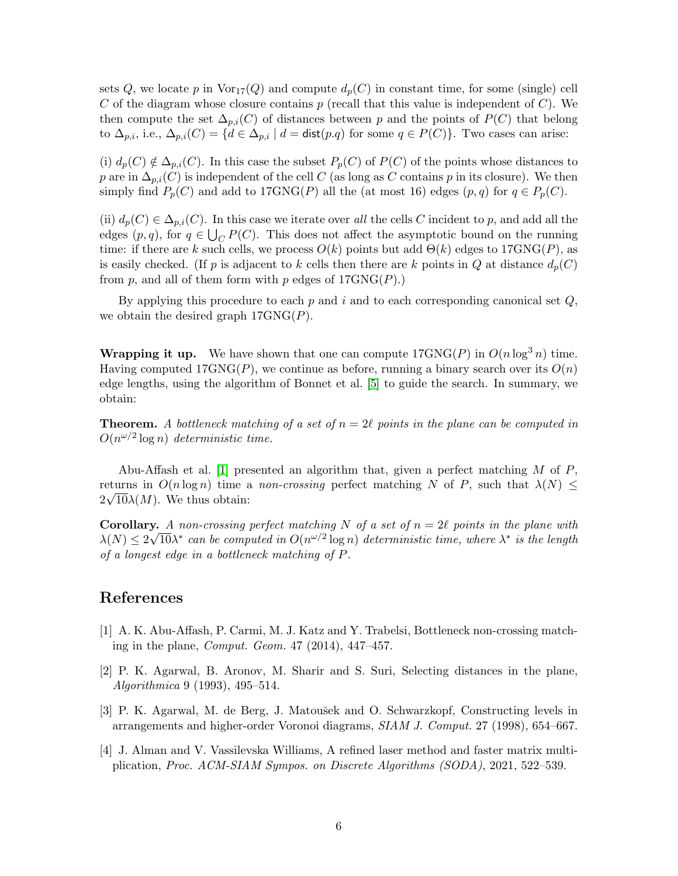sets Q, we locate p in  $\text{Vor}_{17}(Q)$  and compute  $d_p(C)$  in constant time, for some (single) cell C of the diagram whose closure contains  $p$  (recall that this value is independent of C). We then compute the set  $\Delta_{p,i}(C)$  of distances between p and the points of  $P(C)$  that belong to  $\Delta_{p,i}$ , i.e.,  $\Delta_{p,i}(C) = \{d \in \Delta_{p,i} \mid d = \text{dist}(p.q) \text{ for some } q \in P(C)\}.$  Two cases can arise:

(i)  $d_p(C) \notin \Delta_{p,i}(C)$ . In this case the subset  $P_p(C)$  of  $P(C)$  of the points whose distances to p are in  $\Delta_{p,i}(C)$  is independent of the cell C (as long as C contains p in its closure). We then simply find  $P_p(C)$  and add to 17GNG(P) all the (at most 16) edges  $(p, q)$  for  $q \in P_p(C)$ .

(ii)  $d_p(C) \in \Delta_{p,i}(C)$ . In this case we iterate over all the cells C incident to p, and add all the edges  $(p, q)$ , for  $q \in \bigcup_C P(C)$ . This does not affect the asymptotic bound on the running time: if there are k such cells, we process  $O(k)$  points but add  $\Theta(k)$  edges to  $17GNG(P)$ , as is easily checked. (If p is adjacent to k cells then there are k points in Q at distance  $d_p(C)$ from p, and all of them form with p edges of  $17GNG(P)$ .

By applying this procedure to each  $p$  and i and to each corresponding canonical set  $Q$ , we obtain the desired graph  $17GNG(P)$ .

**Wrapping it up.** We have shown that one can compute  $17GNG(P)$  in  $O(n \log^3 n)$  time. Having computed  $17GNG(P)$ , we continue as before, running a binary search over its  $O(n)$ edge lengths, using the algorithm of Bonnet et al. [\[5\]](#page-6-4) to guide the search. In summary, we obtain:

**Theorem.** A bottleneck matching of a set of  $n = 2\ell$  points in the plane can be computed in  $O(n^{\omega/2} \log n)$  deterministic time.

Abu-Affash et al. [\[1\]](#page-5-3) presented an algorithm that, given a perfect matching  $M$  of  $P$ , returns in  $O(n \log n)$  time a non-crossing perfect matching N of P, such that  $\lambda(N) \leq$  $2\sqrt{10\lambda(M)}$ . We thus obtain:

**Corollary.** A non-crossing perfect matching N of a set of  $n = 2\ell$  points in the plane with  $\lambda(N) \leq 2\sqrt{10} \lambda^*$  can be computed in  $O(n^{\omega/2} \log n)$  deterministic time, where  $\lambda^*$  is the length of a longest edge in a bottleneck matching of P.

## References

- <span id="page-5-3"></span>[1] A. K. Abu-Affash, P. Carmi, M. J. Katz and Y. Trabelsi, Bottleneck non-crossing matching in the plane, Comput. Geom. 47 (2014), 447–457.
- <span id="page-5-1"></span>[2] P. K. Agarwal, B. Aronov, M. Sharir and S. Suri, Selecting distances in the plane, Algorithmica 9 (1993), 495–514.
- <span id="page-5-2"></span>[3] P. K. Agarwal, M. de Berg, J. Matoušek and O. Schwarzkopf, Constructing levels in arrangements and higher-order Voronoi diagrams, SIAM J. Comput. 27 (1998), 654–667.
- <span id="page-5-0"></span>[4] J. Alman and V. Vassilevska Williams, A refined laser method and faster matrix multiplication, Proc. ACM-SIAM Sympos. on Discrete Algorithms (SODA), 2021, 522–539.